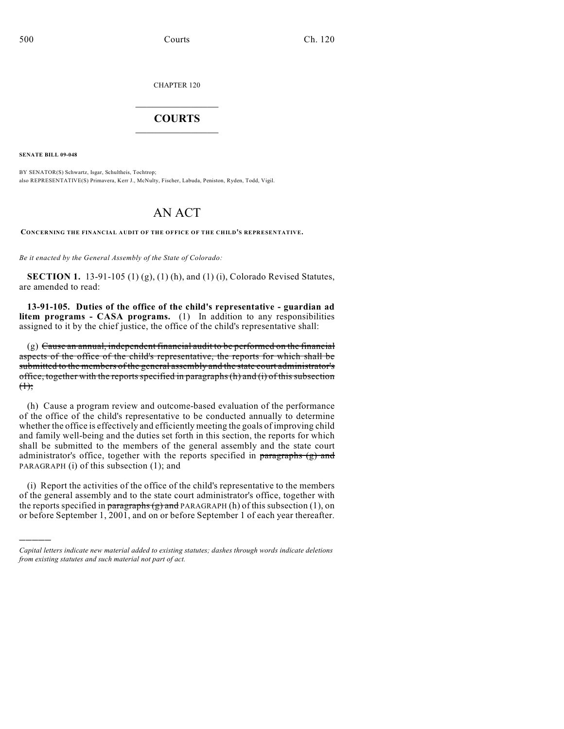CHAPTER 120

## $\mathcal{L}_\text{max}$  . The set of the set of the set of the set of the set of the set of the set of the set of the set of the set of the set of the set of the set of the set of the set of the set of the set of the set of the set **COURTS**  $\_$   $\_$   $\_$   $\_$   $\_$   $\_$   $\_$   $\_$

**SENATE BILL 09-048**

)))))

BY SENATOR(S) Schwartz, Isgar, Schultheis, Tochtrop; also REPRESENTATIVE(S) Primavera, Kerr J., McNulty, Fischer, Labuda, Peniston, Ryden, Todd, Vigil.

## AN ACT

**CONCERNING THE FINANCIAL AUDIT OF THE OFFICE OF THE CHILD'S REPRESENTATIVE.**

*Be it enacted by the General Assembly of the State of Colorado:*

**SECTION 1.** 13-91-105 (1) (g), (1) (h), and (1) (i), Colorado Revised Statutes, are amended to read:

**13-91-105. Duties of the office of the child's representative - guardian ad litem programs - CASA programs.** (1) In addition to any responsibilities assigned to it by the chief justice, the office of the child's representative shall:

(g) Cause an annual, independent financial audit to be performed on the financial aspects of the office of the child's representative, the reports for which shall be submitted to the members of the general assembly and the state court administrator's office, together with the reports specified in paragraphs(h) and (i) of this subsection  $(1)$ ;

(h) Cause a program review and outcome-based evaluation of the performance of the office of the child's representative to be conducted annually to determine whether the office is effectively and efficiently meeting the goals of improving child and family well-being and the duties set forth in this section, the reports for which shall be submitted to the members of the general assembly and the state court administrator's office, together with the reports specified in  $\frac{1}{2}$  and PARAGRAPH (i) of this subsection (1); and

(i) Report the activities of the office of the child's representative to the members of the general assembly and to the state court administrator's office, together with the reports specified in  $\frac{1}{\text{parameters}}$  and PARAGRAPH (h) of this subsection (1), on or before September 1, 2001, and on or before September 1 of each year thereafter.

*Capital letters indicate new material added to existing statutes; dashes through words indicate deletions from existing statutes and such material not part of act.*